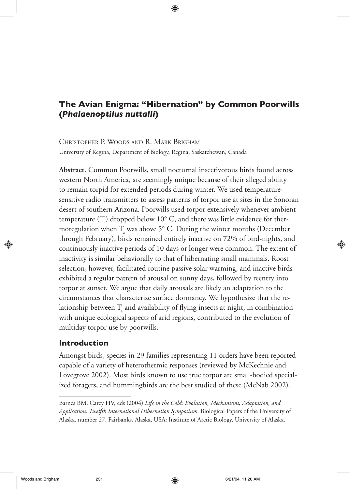# **The Avian Enigma: "Hibernation" by Common Poorwills (***Phalaenoptilus nuttalli***)**

CHRISTOPHER P. WOODS AND R. MARK BRIGHAM University of Regina, Department of Biology, Regina, Saskatchewan, Canada

**Abstract.** Common Poorwills, small nocturnal insectivorous birds found across western North America, are seemingly unique because of their alleged ability to remain torpid for extended periods during winter. We used temperaturesensitive radio transmitters to assess patterns of torpor use at sites in the Sonoran desert of southern Arizona. Poorwills used torpor extensively whenever ambient temperature  $(T_{a})$  dropped below 10° C, and there was little evidence for thermoregulation when  $T_{\text{a}}$  was above 5° C. During the winter months (December through February), birds remained entirely inactive on 72% of bird-nights, and continuously inactive periods of 10 days or longer were common. The extent of inactivity is similar behaviorally to that of hibernating small mammals. Roost selection, however, facilitated routine passive solar warming, and inactive birds exhibited a regular pattern of arousal on sunny days, followed by reentry into torpor at sunset. We argue that daily arousals are likely an adaptation to the circumstances that characterize surface dormancy. We hypothesize that the relationship between  $T_{\scriptscriptstyle\rm a}$  and availability of flying insects at night, in combination with unique ecological aspects of arid regions, contributed to the evolution of multiday torpor use by poorwills.

## **Introduction**

Amongst birds, species in 29 families representing 11 orders have been reported capable of a variety of heterothermic responses (reviewed by McKechnie and Lovegrove 2002). Most birds known to use true torpor are small-bodied specialized foragers, and hummingbirds are the best studied of these (McNab 2002).

Barnes BM, Carey HV, eds (2004) *Life in the Cold: Evolution, Mechanisms, Adaptation, and Application. Twelfth International Hibernation Symposium.* Biological Papers of the University of Alaska, number 27. Fairbanks, Alaska, USA: Institute of Arctic Biology, University of Alaska.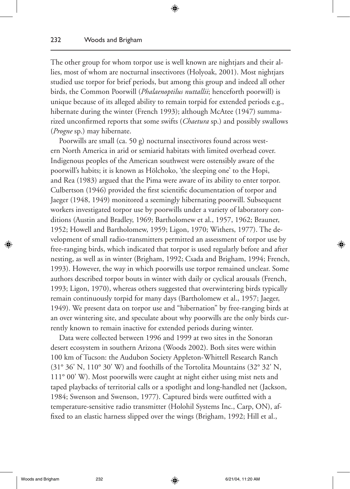The other group for whom torpor use is well known are nightjars and their allies, most of whom are nocturnal insectivores (Holyoak, 2001). Most nightjars studied use torpor for brief periods, but among this group and indeed all other birds, the Common Poorwill (*Phalaenoptilus nuttallii*; henceforth poorwill) is unique because of its alleged ability to remain torpid for extended periods e.g., hibernate during the winter (French 1993); although McAtee (1947) summarized unconfirmed reports that some swifts (*Chaetura* sp.) and possibly swallows (*Progne* sp.) may hibernate.

⊕

Poorwills are small (ca. 50 g) nocturnal insectivores found across western North America in arid or semiarid habitats with limited overhead cover. Indigenous peoples of the American southwest were ostensibly aware of the poorwill's habits; it is known as Hölchoko, 'the sleeping one' to the Hopi, and Rea (1983) argued that the Pima were aware of its ability to enter torpor. Culbertson (1946) provided the first scientific documentation of torpor and Jaeger (1948, 1949) monitored a seemingly hibernating poorwill. Subsequent workers investigated torpor use by poorwills under a variety of laboratory conditions (Austin and Bradley, 1969; Bartholomew et al., 1957, 1962; Brauner, 1952; Howell and Bartholomew, 1959; Ligon, 1970; Withers, 1977). The development of small radio-transmitters permitted an assessment of torpor use by free-ranging birds, which indicated that torpor is used regularly before and after nesting, as well as in winter (Brigham, 1992; Csada and Brigham, 1994; French, 1993). However, the way in which poorwills use torpor remained unclear. Some authors described torpor bouts in winter with daily or cyclical arousals (French, 1993; Ligon, 1970), whereas others suggested that overwintering birds typically remain continuously torpid for many days (Bartholomew et al., 1957; Jaeger, 1949). We present data on torpor use and "hibernation" by free-ranging birds at an over wintering site, and speculate about why poorwills are the only birds currently known to remain inactive for extended periods during winter.

Data were collected between 1996 and 1999 at two sites in the Sonoran desert ecosystem in southern Arizona (Woods 2002). Both sites were within 100 km of Tucson: the Audubon Society Appleton-Whittell Research Ranch (31° 36' N, 110° 30' W) and foothills of the Tortolita Mountains (32° 32' N, 111° 00' W). Most poorwills were caught at night either using mist nets and taped playbacks of territorial calls or a spotlight and long-handled net (Jackson, 1984; Swenson and Swenson, 1977). Captured birds were outfitted with a temperature-sensitive radio transmitter (Holohil Systems Inc., Carp, ON), affixed to an elastic harness slipped over the wings (Brigham, 1992; Hill et al.,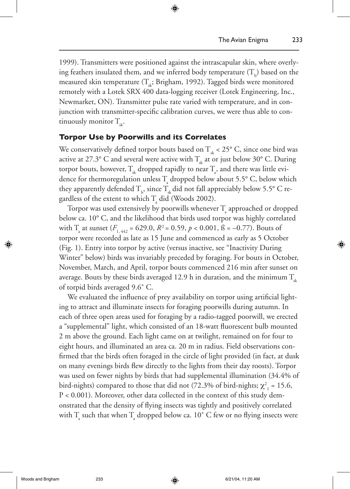1999). Transmitters were positioned against the intrascapular skin, where overlying feathers insulated them, and we inferred body temperature  $(T_{\rm b})$  based on the measured skin temperature ( $T_{\mu}$ ; Brigham, 1992). Tagged birds were monitored remotely with a Lotek SRX 400 data-logging receiver (Lotek Engineering, Inc., Newmarket, ON). Transmitter pulse rate varied with temperature, and in conjunction with transmitter-specific calibration curves, we were thus able to continuously monitor  $T_{st}$ .

◈

### **Torpor Use by Poorwills and its Correlates**

We conservatively defined torpor bouts based on  $T_{\text{sk}}$  < 25° C, since one bird was active at 27.3° C and several were active with  $T_{\text{at}}$  at or just below 30° C. During torpor bouts, however,  $\rm T_{\rm sk}$  dropped rapidly to near  $\rm T_{\rm a}$ , and there was little evidence for thermoregulation unless  $T_{\text{a}}$  dropped below about 5.5° C, below which they apparently defended  $\rm T_{\rm b}$ , since  $\rm T_{\rm sk}$  did not fall appreciably below 5.5° C regardless of the extent to which  $T_{\text{a}}$  did (Woods 2002).

Torpor was used extensively by poorwills whenever  $\mathrm{T}_\mathrm{a}$  approached or dropped below ca. 10° C, and the likelihood that birds used torpor was highly correlated with  $T_{\text{a}}$  at sunset ( $F_{1, 442}$  = 629.0,  $R^2$  = 0.59,  $p < 0.001$ ,  $\beta$  = -0.77). Bouts of torpor were recorded as late as 15 June and commenced as early as 5 October (Fig. 1). Entry into torpor by active (versus inactive, see "Inactivity During Winter" below) birds was invariably preceded by foraging. For bouts in October, November, March, and April, torpor bouts commenced 216 min after sunset on average. Bouts by these birds averaged 12.9 h in duration, and the minimum  $T_{sk}$ of torpid birds averaged 9.6˚ C.

We evaluated the influence of prey availability on torpor using artificial lighting to attract and illuminate insects for foraging poorwills during autumn. In each of three open areas used for foraging by a radio-tagged poorwill, we erected a "supplemental" light, which consisted of an 18-watt fluorescent bulb mounted 2 m above the ground. Each light came on at twilight, remained on for four to eight hours, and illuminated an area ca. 20 m in radius. Field observations confirmed that the birds often foraged in the circle of light provided (in fact, at dusk on many evenings birds flew directly to the lights from their day roosts). Torpor was used on fewer nights by birds that had supplemental illumination (34.4% of bird-nights) compared to those that did not (72.3% of bird-nights;  $\chi^2_{1}$  = 15.6, P < 0.001). Moreover, other data collected in the context of this study demonstrated that the density of flying insects was tightly and positively correlated with  $T_{\scriptscriptstyle\rm a}$  such that when  $T_{\scriptscriptstyle\rm a}$  dropped below ca. 10° C few or no flying insects were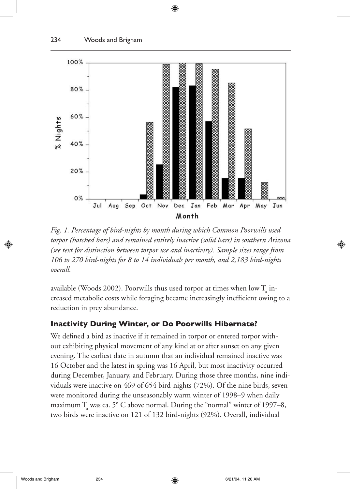

⊕

*Fig. 1. Percentage of bird-nights by month during which Common Poorwills used torpor (hatched bars) and remained entirely inactive (solid bars) in southern Arizona (see text for distinction between torpor use and inactivity). Sample sizes range from 106 to 270 bird-nights for 8 to 14 individuals per month, and 2,183 bird-nights overall.* 

available (Woods 2002). Poorwills thus used torpor at times when low  $\mathrm{T}_\mathrm{a}^{\mathrm{}}$  increased metabolic costs while foraging became increasingly inefficient owing to a reduction in prey abundance.

### **Inactivity During Winter, or Do Poorwills Hibernate?**

We defined a bird as inactive if it remained in torpor or entered torpor without exhibiting physical movement of any kind at or after sunset on any given evening. The earliest date in autumn that an individual remained inactive was 16 October and the latest in spring was 16 April, but most inactivity occurred during December, January, and February. During those three months, nine individuals were inactive on 469 of 654 bird-nights (72%). Of the nine birds, seven were monitored during the unseasonably warm winter of 1998–9 when daily maximum  $T_{\text{a}}$  was ca. 5° C above normal. During the "normal" winter of 1997–8, two birds were inactive on 121 of 132 bird-nights (92%). Overall, individual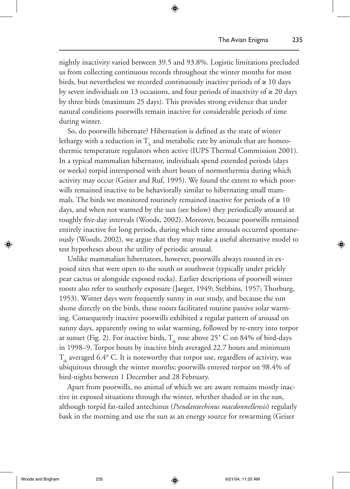nightly inactivity varied between 39.5 and 93.8%. Logistic limitations precluded us from collecting continuous records throughout the winter months for most birds, but nevertheless we recorded continuously inactive periods of  $\geq 10$  days by seven individuals on 13 occasions, and four periods of inactivity of  $\geq 20$  days by three birds (maximum 25 days). This provides strong evidence that under natural conditions poorwills remain inactive for considerable periods of time during winter.

⊕

So, do poorwills hibernate? Hibernation is defined as the state of winter lethargy with a reduction in  $\rm T_{b}$  and metabolic rate by animals that are homeothermic temperature regulators when active (IUPS Thermal Commission 2001). In a typical mammalian hibernator, individuals spend extended periods (days or weeks) torpid interspersed with short bouts of normothermia during which activity may occur (Geiser and Ruf, 1995). We found the extent to which poorwills remained inactive to be behaviorally similar to hibernating small mammals. The birds we monitored routinely remained inactive for periods of  $\geq 10$ days, and when not warmed by the sun (see below) they periodically aroused at roughly five-day intervals (Woods, 2002). Moreover, because poorwills remained entirely inactive for long periods, during which time arousals occurred spontaneously (Woods, 2002), we argue that they may make a useful alternative model to test hypotheses about the utility of periodic arousal.

Unlike mammalian hibernators, however, poorwills always roosted in exposed sites that were open to the south or southwest (typically under prickly pear cactus or alongside exposed rocks). Earlier descriptions of poorwill winter roosts also refer to southerly exposure (Jaeger, 1949; Stebbins, 1957; Thorburg, 1953). Winter days were frequently sunny in our study, and because the sun shone directly on the birds, these roosts facilitated routine passive solar warming. Consequently inactive poorwills exhibited a regular pattern of arousal on sunny days, apparently owing to solar warming, followed by re-entry into torpor at sunset (Fig. 2). For inactive birds,  $T_{sk}$  rose above 25° C on 84% of bird-days in 1998–9. Torpor bouts by inactive birds averaged 22.7 hours and minimum  $T_{sk}$  averaged 6.4° C. It is noteworthy that torpor use, regardless of activity, was ubiquitous through the winter months; poorwills entered torpor on 98.4% of bird-nights between 1 December and 28 February.

Apart from poorwills, no animal of which we are aware remains mostly inactive in exposed situations through the winter, whether shaded or in the sun, although torpid fat-tailed antechinus (*Pseudantechinus macdonnellensis*) regularly bask in the morning and use the sun as an energy source for rewarming (Geiser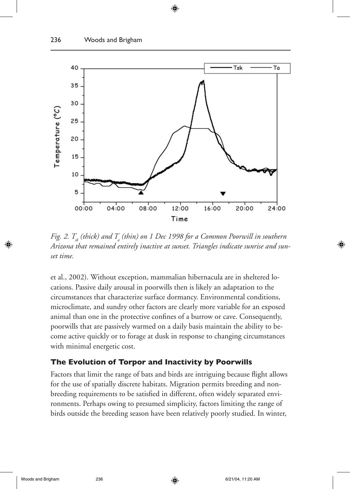

◈

*Fig. 2.*  $T_{\scriptscriptstyle{sk}}$  *(thick) and*  $T_{\scriptscriptstyle{a}}$  *(thin) on 1 Dec 1998 for a Common Poorwill in southern Arizona that remained entirely inactive at sunset. Triangles indicate sunrise and sunset time.*

et al., 2002). Without exception, mammalian hibernacula are in sheltered locations. Passive daily arousal in poorwills then is likely an adaptation to the circumstances that characterize surface dormancy. Environmental conditions, microclimate, and sundry other factors are clearly more variable for an exposed animal than one in the protective confines of a burrow or cave. Consequently, poorwills that are passively warmed on a daily basis maintain the ability to become active quickly or to forage at dusk in response to changing circumstances with minimal energetic cost.

### **The Evolution of Torpor and Inactivity by Poorwills**

Factors that limit the range of bats and birds are intriguing because flight allows for the use of spatially discrete habitats. Migration permits breeding and nonbreeding requirements to be satisfied in different, often widely separated environments. Perhaps owing to presumed simplicity, factors limiting the range of birds outside the breeding season have been relatively poorly studied. In winter,

⊕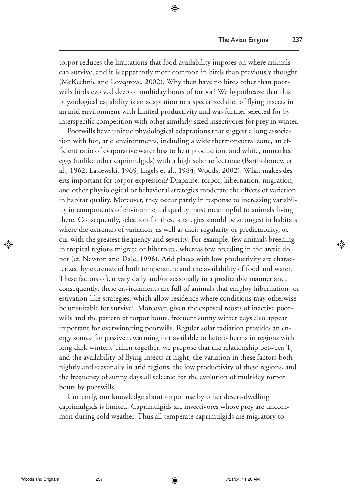torpor reduces the limitations that food availability imposes on where animals can survive, and it is apparently more common in birds than previously thought (McKechnie and Lovegrove, 2002). Why then have no birds other than poorwills birds evolved deep or multiday bouts of torpor? We hypothesize that this physiological capability is an adaptation to a specialized diet of flying insects in an arid environment with limited productivity and was further selected for by interspecific competition with other similarly sized insectivores for prey in winter.

⊕

Poorwills have unique physiological adaptations that suggest a long association with hot, arid environments, including a wide thermoneutral zone, an efficient ratio of evaporative water loss to heat production, and white, unmarked eggs (unlike other caprimulgids) with a high solar reflectance (Bartholomew et al., 1962; Lasiewski, 1969; Ingels et al., 1984; Woods, 2002). What makes deserts important for torpor expression? Diapause, torpor, hibernation, migration, and other physiological or behavioral strategies moderate the effects of variation in habitat quality. Moreover, they occur partly in response to increasing variability in components of environmental quality most meaningful to animals living there. Consequently, selection for these strategies should be strongest in habitats where the extremes of variation, as well as their regularity or predictability, occur with the greatest frequency and severity. For example, few animals breeding in tropical regions migrate or hibernate, whereas few breeding in the arctic do not (cf. Newton and Dale, 1996). Arid places with low productivity are characterized by extremes of both temperature and the availability of food and water. These factors often vary daily and/or seasonally in a predictable manner and, consequently, these environments are full of animals that employ hibernation- or estivation-like strategies, which allow residence where conditions may otherwise be unsuitable for survival. Moreover, given the exposed roosts of inactive poorwills and the pattern of torpor bouts, frequent sunny winter days also appear important for overwintering poorwills. Regular solar radiation provides an energy source for passive rewarming not available to heterotherms in regions with long dark winters. Taken together, we propose that the relationship between  $T$ and the availability of flying insects at night, the variation in these factors both nightly and seasonally in arid regions, the low productivity of these regions, and the frequency of sunny days all selected for the evolution of multiday torpor bouts by poorwills.

Currently, our knowledge about torpor use by other desert-dwelling caprimulgids is limited. Caprimulgids are insectivores whose prey are uncommon during cold weather. Thus all temperate caprimulgids are migratory to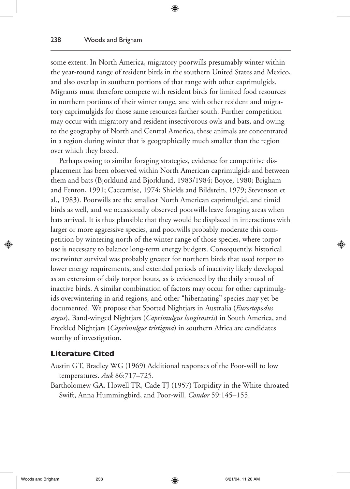some extent. In North America, migratory poorwills presumably winter within the year-round range of resident birds in the southern United States and Mexico, and also overlap in southern portions of that range with other caprimulgids. Migrants must therefore compete with resident birds for limited food resources in northern portions of their winter range, and with other resident and migratory caprimulgids for those same resources farther south. Further competition may occur with migratory and resident insectivorous owls and bats, and owing to the geography of North and Central America, these animals are concentrated in a region during winter that is geographically much smaller than the region over which they breed.

⊕

Perhaps owing to similar foraging strategies, evidence for competitive displacement has been observed within North American caprimulgids and between them and bats (Bjorklund and Bjorklund, 1983/1984; Boyce, 1980; Brigham and Fenton, 1991; Caccamise, 1974; Shields and Bildstein, 1979; Stevenson et al., 1983). Poorwills are the smallest North American caprimulgid, and timid birds as well, and we occasionally observed poorwills leave foraging areas when bats arrived. It is thus plausible that they would be displaced in interactions with larger or more aggressive species, and poorwills probably moderate this competition by wintering north of the winter range of those species, where torpor use is necessary to balance long-term energy budgets. Consequently, historical overwinter survival was probably greater for northern birds that used torpor to lower energy requirements, and extended periods of inactivity likely developed as an extension of daily torpor bouts, as is evidenced by the daily arousal of inactive birds. A similar combination of factors may occur for other caprimulgids overwintering in arid regions, and other "hibernating" species may yet be documented. We propose that Spotted Nightjars in Australia (*Eurostopodus argus*), Band-winged Nightjars (*Caprimulgus longirostris*) in South America, and Freckled Nightjars (*Caprimulgus tristigma*) in southern Africa are candidates worthy of investigation.

#### **Literature Cited**

- Austin GT, Bradley WG (1969) Additional responses of the Poor-will to low temperatures. *Auk* 86:717–725.
- Bartholomew GA, Howell TR, Cade TJ (1957) Torpidity in the White-throated Swift, Anna Hummingbird, and Poor-will. *Condor* 59:145–155.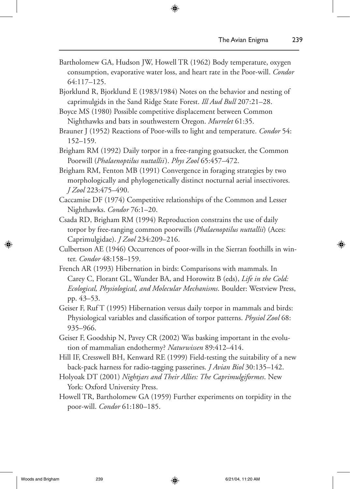Bartholomew GA, Hudson JW, Howell TR (1962) Body temperature, oxygen consumption, evaporative water loss, and heart rate in the Poor-will. *Condor* 64:117–125.

⊕

Bjorklund R, Bjorklund E (1983/1984) Notes on the behavior and nesting of caprimulgids in the Sand Ridge State Forest. *Ill Aud Bull* 207:21–28.

Boyce MS (1980) Possible competitive displacement between Common Nighthawks and bats in southwestern Oregon. *Murrelet* 61:35.

Brauner J (1952) Reactions of Poor-wills to light and temperature. *Condor* 54: 152–159.

Brigham RM (1992) Daily torpor in a free-ranging goatsucker, the Common Poorwill (*Phalaenoptilus nuttallii*). *Phys Zool* 65:457–472.

Brigham RM, Fenton MB (1991) Convergence in foraging strategies by two morphologically and phylogenetically distinct nocturnal aerial insectivores. *J Zool* 223:475–490.

- Caccamise DF (1974) Competitive relationships of the Common and Lesser Nighthawks. *Condor* 76:1–20.
- Csada RD, Brigham RM (1994) Reproduction constrains the use of daily torpor by free-ranging common poorwills (*Phalaenoptilus nuttallii*) (Aces: Caprimulgidae). *J Zool* 234:209–216.
- Culbertson AE (1946) Occurrences of poor-wills in the Sierran foothills in winter. *Condor* 48:158–159.
- French AR (1993) Hibernation in birds: Comparisons with mammals. In Carey C, Florant GL, Wunder BA, and Horowitz B (eds), *Life in the Cold: Ecological, Physiological, and Molecular Mechanisms*. Boulder: Westview Press, pp. 43–53.
- Geiser F, Ruf T (1995) Hibernation versus daily torpor in mammals and birds: Physiological variables and classification of torpor patterns. *Physiol Zool* 68: 935–966.
- Geiser F, Goodship N, Pavey CR (2002) Was basking important in the evolution of mammalian endothermy? *Naturwissen* 89:412–414.
- Hill IF, Cresswell BH, Kenward RE (1999) Field-testing the suitability of a new back-pack harness for radio-tagging passerines. *J Avian Biol* 30:135–142.
- Holyoak DT (2001) *Nightjars and Their Allies: The Caprimulgiformes*. New York: Oxford University Press.

Howell TR, Bartholomew GA (1959) Further experiments on torpidity in the poor-will. *Condor* 61:180–185.